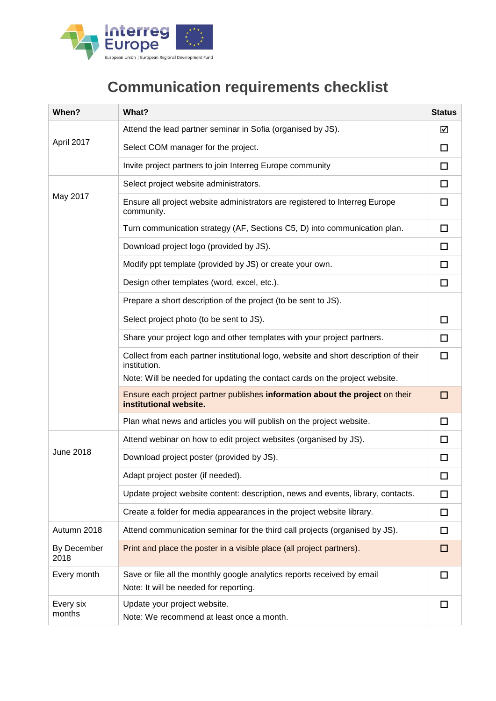

## **Communication requirements checklist**

| When?               | What?                                                                                                             | <b>Status</b> |
|---------------------|-------------------------------------------------------------------------------------------------------------------|---------------|
| April 2017          | Attend the lead partner seminar in Sofia (organised by JS).                                                       | ☑             |
|                     | Select COM manager for the project.                                                                               | □             |
|                     | Invite project partners to join Interreg Europe community                                                         | □             |
| May 2017            | Select project website administrators.                                                                            | □             |
|                     | Ensure all project website administrators are registered to Interreg Europe<br>community.                         | □             |
|                     | Turn communication strategy (AF, Sections C5, D) into communication plan.                                         | $\Box$        |
|                     | Download project logo (provided by JS).                                                                           | п             |
|                     | Modify ppt template (provided by JS) or create your own.                                                          | □             |
|                     | Design other templates (word, excel, etc.).                                                                       | □             |
|                     | Prepare a short description of the project (to be sent to JS).                                                    |               |
|                     | Select project photo (to be sent to JS).                                                                          | $\Box$        |
|                     | Share your project logo and other templates with your project partners.                                           | □             |
|                     | Collect from each partner institutional logo, website and short description of their<br>institution.              | □             |
|                     | Note: Will be needed for updating the contact cards on the project website.                                       |               |
|                     | Ensure each project partner publishes information about the project on their<br>institutional website.            | $\Box$        |
|                     | Plan what news and articles you will publish on the project website.                                              | п             |
| <b>June 2018</b>    | Attend webinar on how to edit project websites (organised by JS).                                                 | П             |
|                     | Download project poster (provided by JS).                                                                         | П             |
|                     | Adapt project poster (if needed).                                                                                 | $\Box$        |
|                     | Update project website content: description, news and events, library, contacts.                                  | □             |
|                     | Create a folder for media appearances in the project website library.                                             | □             |
| Autumn 2018         | Attend communication seminar for the third call projects (organised by JS).                                       | □             |
| By December<br>2018 | Print and place the poster in a visible place (all project partners).                                             | □             |
| Every month         | Save or file all the monthly google analytics reports received by email<br>Note: It will be needed for reporting. | П             |
| Every six<br>months | Update your project website.<br>Note: We recommend at least once a month.                                         | П             |